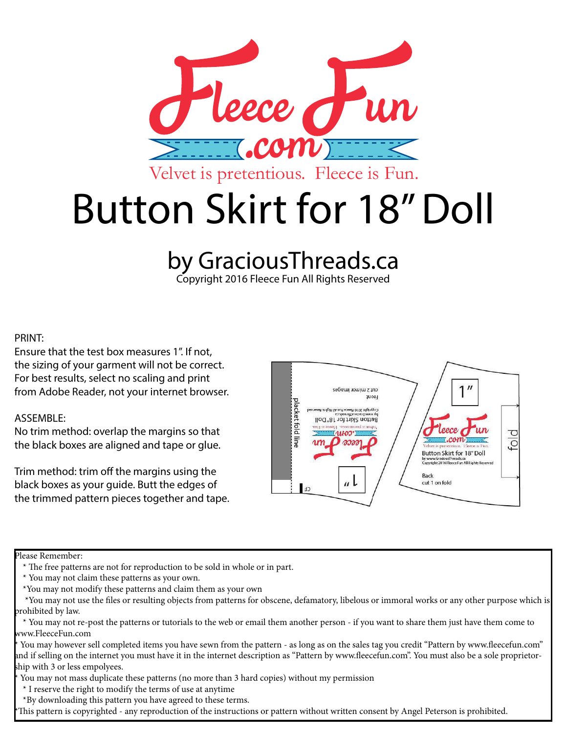

## by GraciousThreads.ca

Copyright 2016 Fleece Fun All Rights Reserved

## PRINT:

Ensure that the test box measures 1". If not, the sizing of your garment will not be correct. For best results, select no scaling and print from Adobe Reader, not your internet browser.

## ASSEMBLE:

No trim method: overlap the margins so that the black boxes are aligned and tape or glue.

Trim method: trim off the margins using the black boxes as your guide. Butt the edges of the trimmed pattern pieces together and tape.



Please Remember:

You may however sell completed items you have sewn from the pattern - as long as on the sales tag you credit "Pattern by www.fleecefun.com" and if selling on the internet you must have it in the internet description as "Pattern by www.fleecefun.com". You must also be a sole proprietorship with 3 or less empolyees.

You may not mass duplicate these patterns (no more than 3 hard copies) without my permission

\* I reserve the right to modify the terms of use at anytime

\*By downloading this pattern you have agreed to these terms.

This pattern is copyrighted - any reproduction of the instructions or pattern without written consent by Angel Peterson is prohibited.

 <sup>\*</sup> The free patterns are not for reproduction to be sold in whole or in part.

 <sup>\*</sup> You may not claim these patterns as your own.

 <sup>\*</sup>You may not modify these patterns and claim them as your own

 <sup>\*</sup>You may not use the files or resulting objects from patterns for obscene, defamatory, libelous or immoral works or any other purpose which is prohibited by law.

 <sup>\*</sup> You may not re-post the patterns or tutorials to the web or email them another person - if you want to share them just have them come to www.FleeceFun.com